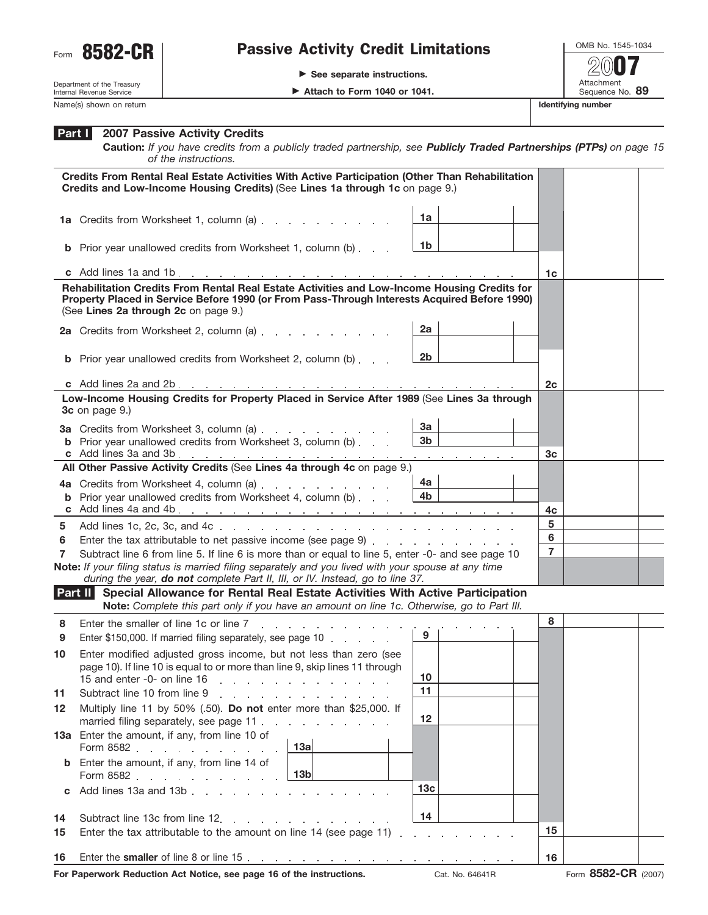

## Form 8582-CR | Passive Activity Credit Limitations

- **See separate instructions.**

OMB No. 1545-1034 Attachment<br>Sequence No. 89 **Example 2 Attach to Form 1040 or 1041.** Sequence No. 89 **2007**

Department of the Treasury Internal Revenue Service Name(s) shown on return **Identifying number Identifying number Identifying number** 

| $M+0.66 + 0.5$ |  |  |  |
|----------------|--|--|--|

## **2007 Passive Activity Credits Part I**

**Caution:** *If you have credits from a publicly traded partnership, see Publicly Traded Partnerships (PTPs) on page 15 of the instructions.*

|          | Credits From Rental Real Estate Activities With Active Participation (Other Than Rehabilitation<br>Credits and Low-Income Housing Credits) (See Lines 1a through 1c on page 9.)                                                      |                     |    |  |
|----------|--------------------------------------------------------------------------------------------------------------------------------------------------------------------------------------------------------------------------------------|---------------------|----|--|
|          | 1a Credits from Worksheet 1, column (a)                                                                                                                                                                                              | 1a                  |    |  |
|          | <b>b</b> Prior year unallowed credits from Worksheet 1, column (b)                                                                                                                                                                   | 1b                  |    |  |
|          |                                                                                                                                                                                                                                      |                     | 1c |  |
|          | Rehabilitation Credits From Rental Real Estate Activities and Low-Income Housing Credits for<br>Property Placed in Service Before 1990 (or From Pass-Through Interests Acquired Before 1990)<br>(See Lines 2a through 2c on page 9.) |                     |    |  |
|          | 2a<br>2a Credits from Worksheet 2, column (a)                                                                                                                                                                                        |                     |    |  |
|          | <b>b</b> Prior year unallowed credits from Worksheet 2, column (b)                                                                                                                                                                   | 2b                  |    |  |
|          |                                                                                                                                                                                                                                      |                     | 2c |  |
|          | Low-Income Housing Credits for Property Placed in Service After 1989 (See Lines 3a through<br>3c on page 9.)                                                                                                                         |                     |    |  |
|          | 3a Credits from Worksheet 3, column (a)                                                                                                                                                                                              | За                  |    |  |
|          | <b>b</b> Prior year unallowed credits from Worksheet 3, column (b)                                                                                                                                                                   | 3 <sub>b</sub>      | 3c |  |
|          | All Other Passive Activity Credits (See Lines 4a through 4c on page 9.)                                                                                                                                                              |                     |    |  |
|          |                                                                                                                                                                                                                                      | 4a                  |    |  |
|          | <b>b</b> Prior year unallowed credits from Worksheet 4, column (b)                                                                                                                                                                   | 4b                  |    |  |
|          |                                                                                                                                                                                                                                      |                     | 4c |  |
| 5        |                                                                                                                                                                                                                                      |                     | 5  |  |
| 6        |                                                                                                                                                                                                                                      | 6<br>$\overline{7}$ |    |  |
| 7        | Subtract line 6 from line 5. If line 6 is more than or equal to line 5, enter -0- and see page 10<br>Note: If your filing status is married filing separately and you lived with your spouse at any time                             |                     |    |  |
|          | during the year, do not complete Part II, III, or IV. Instead, go to line 37.                                                                                                                                                        |                     |    |  |
|          | Part II Special Allowance for Rental Real Estate Activities With Active Participation                                                                                                                                                |                     |    |  |
|          | Note: Complete this part only if you have an amount on line 1c. Otherwise, go to Part III.                                                                                                                                           |                     |    |  |
| 8<br>9   | Enter the smaller of line 1c or line 7<br>the contract of the contract of the contract of the contract of the contract of the contract of the contract of<br>9<br>Enter \$150,000. If married filing separately, see page 10         |                     | 8  |  |
| 10       | Enter modified adjusted gross income, but not less than zero (see                                                                                                                                                                    |                     |    |  |
|          | page 10). If line 10 is equal to or more than line 9, skip lines 11 through                                                                                                                                                          |                     |    |  |
|          | 15 and enter -0- on line 16                                                                                                                                                                                                          | 10<br>11            |    |  |
| 11<br>12 | Subtract line 10 from line 9<br>design and a state of the state<br>Multiply line 11 by 50% (.50). Do not enter more than \$25,000. If                                                                                                |                     |    |  |
|          | married filing separately, see page 11                                                                                                                                                                                               | 12                  |    |  |
|          | 13a Enter the amount, if any, from line 10 of<br>13a<br>Form 8582                                                                                                                                                                    |                     |    |  |
|          | Enter the amount, if any, from line 14 of<br>13 <sub>b</sub><br>Form 8582                                                                                                                                                            |                     |    |  |
| C        | Add lines 13a and 13b<br><b>Carl Corporation</b>                                                                                                                                                                                     | 13 <sub>c</sub>     |    |  |
| 14       | Subtract line 13c from line 12.<br>and the company of the company of                                                                                                                                                                 | 14                  |    |  |
| 15       | Enter the tax attributable to the amount on line 14 (see page 11)<br>and a strategic and a                                                                                                                                           |                     |    |  |
| 16       |                                                                                                                                                                                                                                      |                     |    |  |
|          |                                                                                                                                                                                                                                      |                     |    |  |

**For Paperwork Reduction Act Notice, see page 16 of the instructions.** Cat. No. 64641R Form 8582-CR (2007)